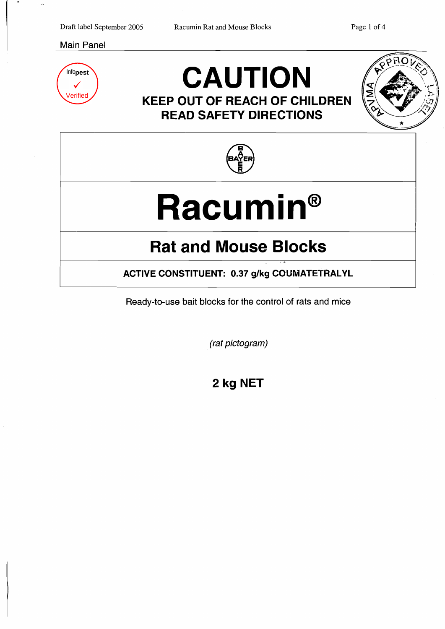#### Main Panel



## **CAUTION KEEP OUT OF REACH OF CHILDREN**





**READ SAFETY DIRECTIONS** 

# **Racumin®**

## **Rat and Mouse Blocks**

**ACTIVE CONSTITUENT: 0.37 g/kg COUMATETRALYL** 

.;

Ready-to-use bait blocks for the control of rats and mice

(rat pictogram)

**2 kg NET**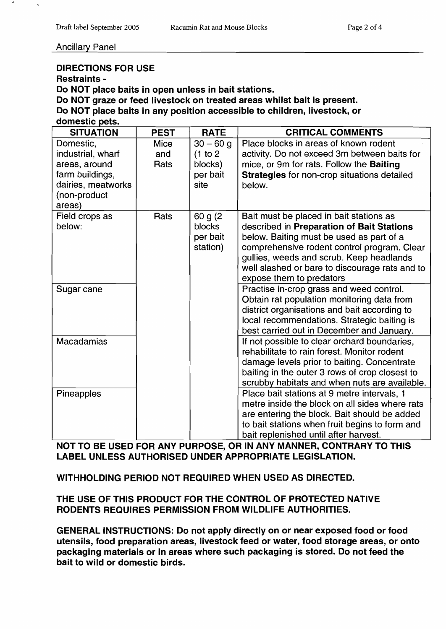#### DIRECTIONS FOR USE

Restraints

Do NOT place baits in open unless in bait stations.

Do NOT graze or feed livestock on treated areas whilst bait is present.

Do NOT place baits in any position accessible to children, livestock, or

| domestic pets.                                                                                                     |                            |                                                        |                                                                                                                                                                                                                                                                                                           |
|--------------------------------------------------------------------------------------------------------------------|----------------------------|--------------------------------------------------------|-----------------------------------------------------------------------------------------------------------------------------------------------------------------------------------------------------------------------------------------------------------------------------------------------------------|
| <b>SITUATION</b>                                                                                                   | <b>PEST</b>                | <b>RATE</b>                                            | <b>CRITICAL COMMENTS</b>                                                                                                                                                                                                                                                                                  |
| Domestic,<br>industrial, wharf<br>areas, around<br>farm buildings,<br>dairies, meatworks<br>(non-product<br>areas) | <b>Mice</b><br>and<br>Rats | $30 - 60$ g<br>(1 to 2)<br>blocks)<br>per bait<br>site | Place blocks in areas of known rodent<br>activity. Do not exceed 3m between baits for<br>mice, or 9m for rats. Follow the Baiting<br><b>Strategies</b> for non-crop situations detailed<br>below.                                                                                                         |
| Field crops as<br>below:                                                                                           | Rats                       | 60 g (2)<br>blocks<br>per bait<br>station)             | Bait must be placed in bait stations as<br>described in Preparation of Bait Stations<br>below. Baiting must be used as part of a<br>comprehensive rodent control program. Clear<br>gullies, weeds and scrub. Keep headlands<br>well slashed or bare to discourage rats and to<br>expose them to predators |
| Sugar cane                                                                                                         |                            |                                                        | Practise in-crop grass and weed control.<br>Obtain rat population monitoring data from<br>district organisations and bait according to<br>local recommendations. Strategic baiting is<br>best carried out in December and January.                                                                        |
| <b>Macadamias</b>                                                                                                  |                            |                                                        | If not possible to clear orchard boundaries,<br>rehabilitate to rain forest. Monitor rodent<br>damage levels prior to baiting. Concentrate<br>baiting in the outer 3 rows of crop closest to<br>scrubby habitats and when nuts are available.                                                             |
| Pineapples                                                                                                         |                            |                                                        | Place bait stations at 9 metre intervals, 1<br>metre inside the block on all sides where rats<br>are entering the block. Bait should be added<br>to bait stations when fruit begins to form and<br>bait replenished until after harvest.                                                                  |

NOT TO BE USED FOR ANY PURPOSE, OR IN ANY MANNER, CONTRARY TO THIS LABEL UNLESS AUTHORISED UNDER APPROPRIATE LEGISLATION.

WITHHOLDING PERIOD NOT REQUIRED WHEN USED AS DIRECTED.

THE USE OF THIS PRODUCT FOR THE CONTROL OF PROTECTED NATIVE RODENTS REQUIRES PERMISSION FROM WILDLIFE AUTHORITIES.

GENERAL INSTRUCTIONS: Do not apply directly on or near exposed food or food utensils, food preparation areas, livestock feed or water, food storage areas, or onto packaging materials or in areas where such packaging is stored. Do not feed the bait to wild or domestic birds.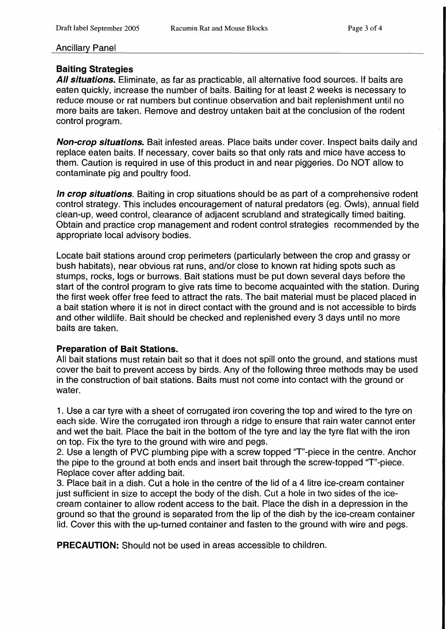### Baiting Strategies

All situations. Eliminate, as far as practicable, all alternative food sources. If baits are eaten quickly, increase the number of baits. Baiting for at least 2 weeks is necessary to reduce mouse or rat numbers but continue observation and bait replenishment until no more baits are taken. Remove and destroy untaken bait at the conclusion of the rodent control program.

Non-crop situations. Bait infested areas. Place baits under cover. Inspect baits daily and replace eaten baits. If necessary, cover baits so that only rats and mice have access to them. Caution is required in use of this product in and near piggeries. Do NOT allow to contaminate pig and poultry food.

In crop situations. Baiting in crop situations should be as part of a comprehensive rodent control strategy. This includes encouragement of natural predators (eg. Owls), annual field clean-up, weed control, clearance of adjacent scrubland and strategically timed baiting. Obtain and practice crop management and rodent control strategies recommended by the appropriate local advisory bodies.

Locate bait stations around crop perimeters (particularly between the crop and grassy or bush habitats), near obvious rat runs, and/or close to known rat hiding spots such as stumps, rocks, logs or burrows. Bait stations must be put down several days before the start of the control program to give rats time to become acquainted with the station. During the first week offer free feed to attract the rats. The bait material must be placed placed in a bait station where it is not in direct contact with the ground and is not accessible to birds and other wildlife. Bait should be checked and replenished every 3 days until no more baits are taken.

#### Preparation of Bait Stations.

All bait stations must retain bait so that it does not spill onto the ground, and stations must cover the bait to prevent access by birds. Any of the following three methods may be used in the construction of bait stations. Baits must not come into contact with the ground or water.

1. Use a car tyre with a sheet of corrugated iron covering the top and wired to the tyre on each side. Wire the corrugated iron through a ridge to ensure that rain water cannot enter and wet the bait. Place the bait in the bottom of the tyre and lay the tyre flat with the iron on top. Fix the tyre to the ground with wire and pegs.

2. Use a length of PVC plumbing pipe with a screw topped "T"-piece in the centre. Anchor the pipe to the ground at both ends and insert bait through the screw-topped "T"-piece. Replace cover after adding bait.

3. Place bait in a dish. Cut a hole in the centre of the lid of a 4 litre ice-cream container just sufficient in size to accept the body of the dish. Cut a hole in two sides of the icecream container to allow rodent access to the bait. Place the dish in a depression in the ground so that the ground is separated from the lip of the dish by the ice-cream container lid. Cover this with the up-turned container and fasten to the ground with wire and pegs.

PRECAUTION: Should not be used in areas accessible to children.